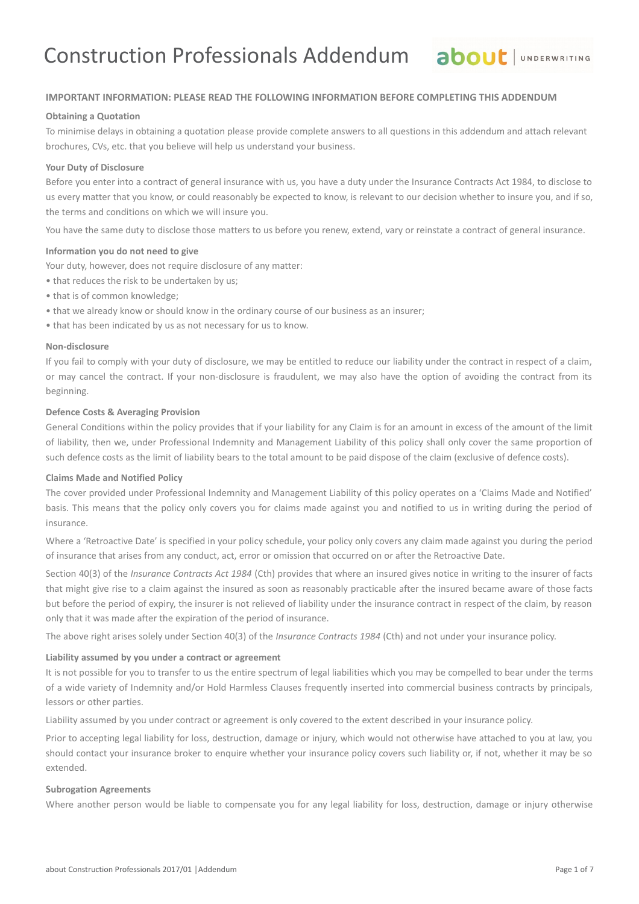## **IMPORTANT INFORMATION: PLEASE READ THE FOLLOWING INFORMATION BEFORE COMPLETING THIS ADDENDUM**

## **Obtaining a Quotation**

To minimise delays in obtaining a quotation please provide complete answers to all questions in this addendum and attach relevant brochures, CVs, etc. that you believe will help us understand your business.

## **Your Duty of Disclosure**

Before you enter into a contract of general insurance with us, you have a duty under the Insurance Contracts Act 1984, to disclose to us every matter that you know, or could reasonably be expected to know, is relevant to our decision whether to insure you, and if so, the terms and conditions on which we will insure you.

You have the same duty to disclose those matters to us before you renew, extend, vary or reinstate a contract of general insurance.

## **Information you do not need to give**

Your duty, however, does not require disclosure of any matter:

- that reduces the risk to be undertaken by us;
- that is of common knowledge;
- that we already know or should know in the ordinary course of our business as an insurer;
- that has been indicated by us as not necessary for us to know.

## **Non-disclosure**

If you fail to comply with your duty of disclosure, we may be entitled to reduce our liability under the contract in respect of a claim, or may cancel the contract. If your non-disclosure is fraudulent, we may also have the option of avoiding the contract from its beginning.

## **Defence Costs & Averaging Provision**

General Conditions within the policy provides that if your liability for any Claim is for an amount in excess of the amount of the limit of liability, then we, under Professional Indemnity and Management Liability of this policy shall only cover the same proportion of such defence costs as the limit of liability bears to the total amount to be paid dispose of the claim (exclusive of defence costs).

## **Claims Made and Notified Policy**

The cover provided under Professional Indemnity and Management Liability of this policy operates on a 'Claims Made and Notified' basis. This means that the policy only covers you for claims made against you and notified to us in writing during the period of insurance.

Where a 'Retroactive Date' is specified in your policy schedule, your policy only covers any claim made against you during the period of insurance that arises from any conduct, act, error or omission that occurred on or after the Retroactive Date.

Section 40(3) of the *Insurance Contracts Act 1984* (Cth) provides that where an insured gives notice in writing to the insurer of facts that might give rise to a claim against the insured as soon as reasonably practicable after the insured became aware of those facts but before the period of expiry, the insurer is not relieved of liability under the insurance contract in respect of the claim, by reason only that it was made after the expiration of the period of insurance.

The above right arises solely under Section 40(3) of the *Insurance Contracts 1984* (Cth) and not under your insurance policy.

### **Liability assumed by you under a contract or agreement**

It is not possible for you to transfer to us the entire spectrum of legal liabilities which you may be compelled to bear under the terms of a wide variety of Indemnity and/or Hold Harmless Clauses frequently inserted into commercial business contracts by principals, lessors or other parties.

Liability assumed by you under contract or agreement is only covered to the extent described in your insurance policy.

Prior to accepting legal liability for loss, destruction, damage or injury, which would not otherwise have attached to you at law, you should contact your insurance broker to enquire whether your insurance policy covers such liability or, if not, whether it may be so extended.

## **Subrogation Agreements**

Where another person would be liable to compensate you for any legal liability for loss, destruction, damage or injury otherwise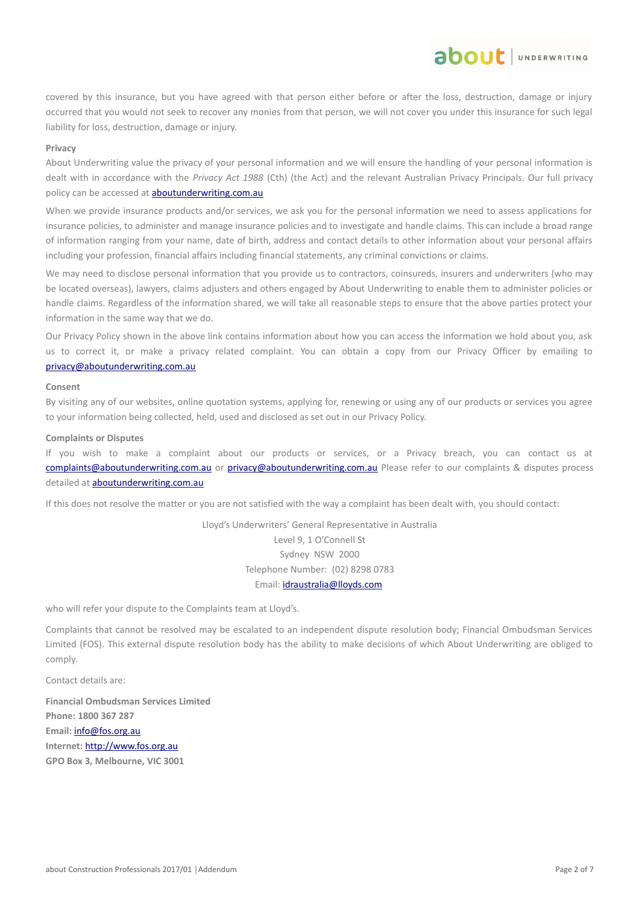covered by this insurance, but you have agreed with that person either before or after the loss, destruction, damage or injury occurred that you would not seek to recover any monies from that person, we will not cover you under this insurance for such legal liability for loss, destruction, damage or injury.

about JUNDERWRITING

### **Privacy**

About Underwriting value the privacy of your personal information and we will ensure the handling of your personal information is dealt with in accordance with the *Privacy Act 1988* (Cth) (the Act) and the relevant Australian Privacy Principals. Our full privacy policy can be accessed at **aboutunderwriting.com.au** 

When we provide insurance products and/or services, we ask you for the personal information we need to assess applications for insurance policies, to administer and manage insurance policies and to investigate and handle claims. This can include a broad range of information ranging from your name, date of birth, address and contact details to other information about your personal affairs including your profession, financial affairs including financial statements, any criminal convictions or claims.

We may need to disclose personal information that you provide us to contractors, coinsureds, insurers and underwriters (who may be located overseas), lawyers, claims adjusters and others engaged by About Underwriting to enable them to administer policies or handle claims. Regardless of the information shared, we will take all reasonable steps to ensure that the above parties protect your information in the same way that we do.

Our Privacy Policy shown in the above link contains information about how you can access the information we hold about you, ask us to correct it, or make a privacy related complaint. You can obtain a copy from our Privacy Officer by emailing to [privacy@aboutunderwriting.com.au](mailto:privacy@aboutunderwriting.com.au)

#### **Consent**

By visiting any of our websites, online quotation systems, applying for, renewing or using any of our products or services you agree to your information being collected, held, used and disclosed as set out in our Privacy Policy.

#### **Complaints or Disputes**

If you wish to make a complaint about our products or services, or a Privacy breach, you can contact us at [complaints@aboutunderwriting.com.au](mailto:complaints@aboutunderwriting.com.au) or [privacy@aboutunderwriting.com.au](mailto:privacy@aboutunderwriting.com.au) Please refer to our complaints & disputes process detailed at [aboutunderwriting.com.au](http://www.aboutunderwriting.com.au/)

If this does not resolve the matter or you are not satisfied with the way a complaint has been dealt with, you should contact:

Lloyd's Underwriters' General Representative in Australia Level 9, 1 O'Connell St Sydney NSW 2000 Telephone Number: (02) 8298 0783 Email: [idraustralia@lloyds.com](mailto:idraustralia@lloyds.com)

who will refer your dispute to the Complaints team at Lloyd's.

Complaints that cannot be resolved may be escalated to an independent dispute resolution body; Financial Ombudsman Services Limited (FOS). This external dispute resolution body has the ability to make decisions of which About Underwriting are obliged to comply.

Contact details are:

**Financial Ombudsman Services Limited Phone: 1800 367 287 Email:** [info@fos.org.au](mailto:info@fos.org.au) **Internet:** [http://www.fos.org.au](http://www.fos.org.au/) **GPO Box 3, Melbourne, VIC 3001**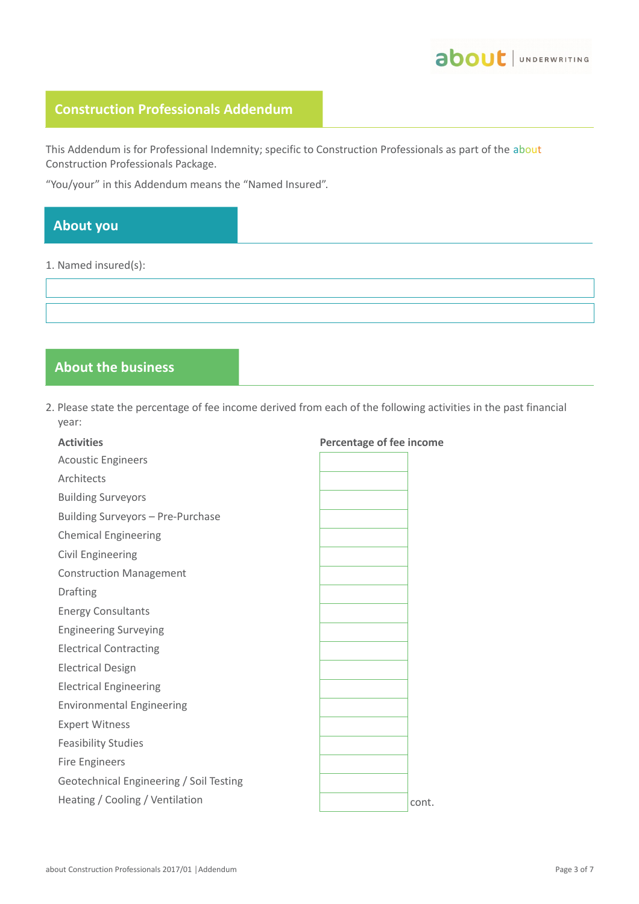

# **Construction Professionals Addendum**

This Addendum is for Professional Indemnity; specific to Construction Professionals as part of the about Construction Professionals Package.

"You/your" in this Addendum means the "Named Insured".

# **About you**

## 1. Named insured(s):

## **About the business**

2. Please state the percentage of fee income derived from each of the following activities in the past financial year:

| <b>Activities</b>                       | <b>Percentage of fee income</b> |
|-----------------------------------------|---------------------------------|
| <b>Acoustic Engineers</b>               |                                 |
| Architects                              |                                 |
| <b>Building Surveyors</b>               |                                 |
| Building Surveyors - Pre-Purchase       |                                 |
| <b>Chemical Engineering</b>             |                                 |
| <b>Civil Engineering</b>                |                                 |
| <b>Construction Management</b>          |                                 |
| Drafting                                |                                 |
| <b>Energy Consultants</b>               |                                 |
| <b>Engineering Surveying</b>            |                                 |
| <b>Electrical Contracting</b>           |                                 |
| <b>Electrical Design</b>                |                                 |
| <b>Electrical Engineering</b>           |                                 |
| <b>Environmental Engineering</b>        |                                 |
| <b>Expert Witness</b>                   |                                 |
| <b>Feasibility Studies</b>              |                                 |
| <b>Fire Engineers</b>                   |                                 |
| Geotechnical Engineering / Soil Testing |                                 |
| Heating / Cooling / Ventilation         | cont.                           |
|                                         |                                 |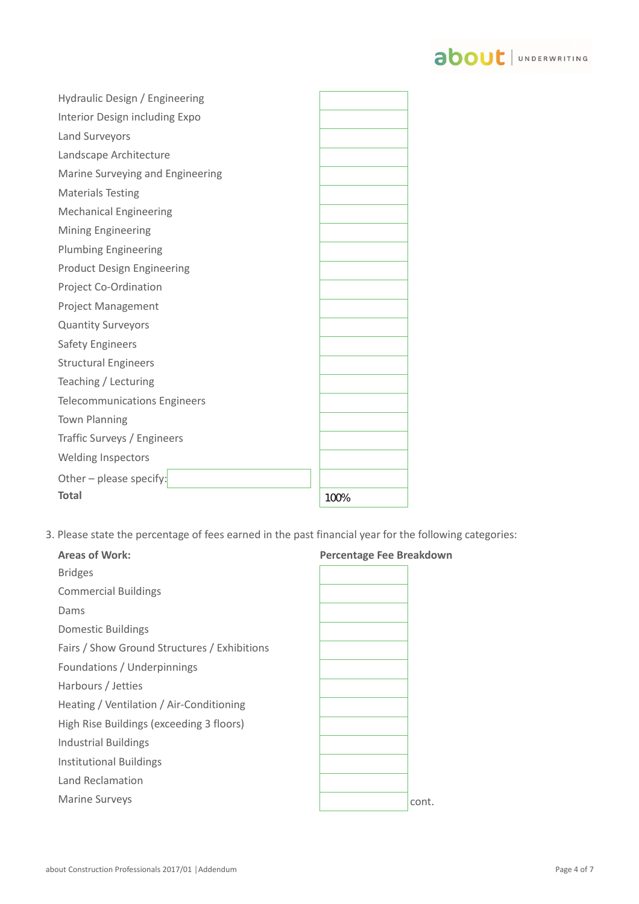

| Hydraulic Design / Engineering      |      |
|-------------------------------------|------|
| Interior Design including Expo      |      |
| Land Surveyors                      |      |
| Landscape Architecture              |      |
| Marine Surveying and Engineering    |      |
| <b>Materials Testing</b>            |      |
| <b>Mechanical Engineering</b>       |      |
| <b>Mining Engineering</b>           |      |
| <b>Plumbing Engineering</b>         |      |
| <b>Product Design Engineering</b>   |      |
| Project Co-Ordination               |      |
| <b>Project Management</b>           |      |
| <b>Quantity Surveyors</b>           |      |
| <b>Safety Engineers</b>             |      |
| <b>Structural Engineers</b>         |      |
| Teaching / Lecturing                |      |
| <b>Telecommunications Engineers</b> |      |
| <b>Town Planning</b>                |      |
| Traffic Surveys / Engineers         |      |
| Welding Inspectors                  |      |
| Other - please specify:             |      |
| <b>Total</b>                        | 100% |

3. Please state the percentage of fees earned in the past financial year for the following categories:

| <b>Areas of Work:</b>                        | <b>Percentage Fee Breakdown</b> |  |
|----------------------------------------------|---------------------------------|--|
| <b>Bridges</b>                               |                                 |  |
| <b>Commercial Buildings</b>                  |                                 |  |
| Dams                                         |                                 |  |
| <b>Domestic Buildings</b>                    |                                 |  |
| Fairs / Show Ground Structures / Exhibitions |                                 |  |
| Foundations / Underpinnings                  |                                 |  |
| Harbours / Jetties                           |                                 |  |
| Heating / Ventilation / Air-Conditioning     |                                 |  |
| High Rise Buildings (exceeding 3 floors)     |                                 |  |
| <b>Industrial Buildings</b>                  |                                 |  |
| <b>Institutional Buildings</b>               |                                 |  |
| Land Reclamation                             |                                 |  |
| <b>Marine Surveys</b>                        | cont.                           |  |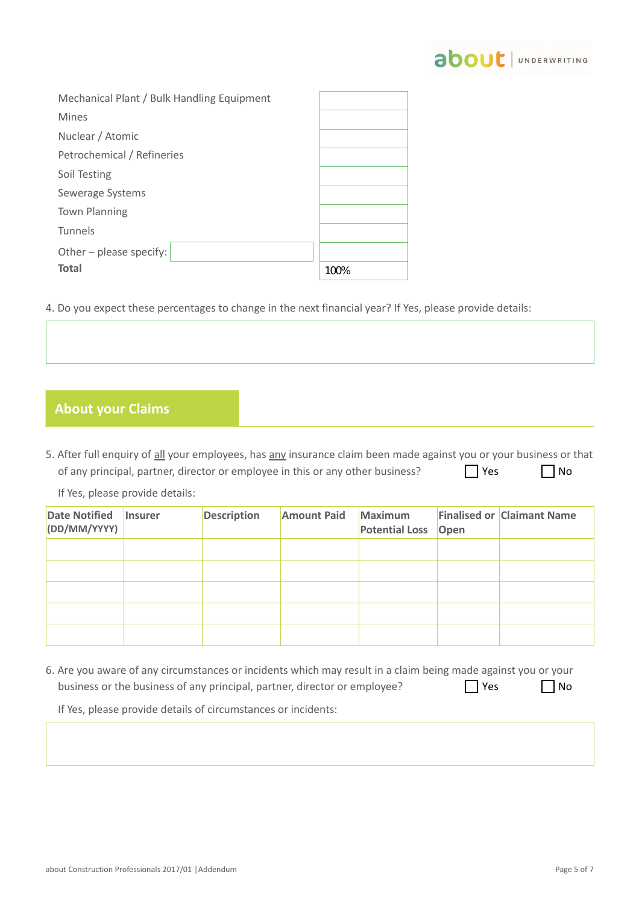

| Mechanical Plant / Bulk Handling Equipment |      |
|--------------------------------------------|------|
| <b>Mines</b>                               |      |
| Nuclear / Atomic                           |      |
| Petrochemical / Refineries                 |      |
| Soil Testing                               |      |
| Sewerage Systems                           |      |
| <b>Town Planning</b>                       |      |
| Tunnels                                    |      |
| Other - please specify:                    |      |
| <b>Total</b>                               | 100% |

4. Do you expect these percentages to change in the next financial year? If Yes, please provide details:

## **About your Claims**

5. After full enquiry of all your employees, has any insurance claim been made against you or your business or that of any principal, partner, director or employee in this or any other business?  $\Box$  Yes  $\Box$  No

If Yes, please provide details:

| <b>Date Notified</b><br>(DD/MM/YYYY) | <b>Insurer</b> | <b>Description</b> | <b>Amount Paid</b> | Maximum<br><b>Potential Loss</b> | Open | <b>Finalised or Claimant Name</b> |
|--------------------------------------|----------------|--------------------|--------------------|----------------------------------|------|-----------------------------------|
|                                      |                |                    |                    |                                  |      |                                   |
|                                      |                |                    |                    |                                  |      |                                   |
|                                      |                |                    |                    |                                  |      |                                   |
|                                      |                |                    |                    |                                  |      |                                   |
|                                      |                |                    |                    |                                  |      |                                   |

6. Are you aware of any circumstances or incidents which may result in a claim being made against you or your business or the business of any principal, partner, director or employee?  $\Box$  Yes  $\Box$  No

If Yes, please provide details of circumstances or incidents: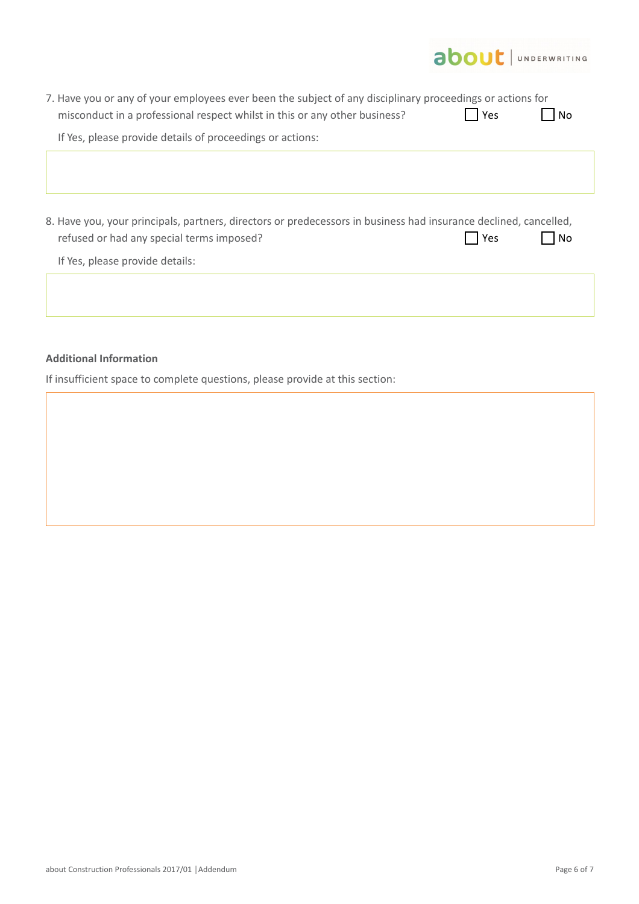

|                                                           |                                                                                                                  | 7. Have you or any of your employees ever been the subject of any disciplinary proceedings or actions for |           |
|-----------------------------------------------------------|------------------------------------------------------------------------------------------------------------------|-----------------------------------------------------------------------------------------------------------|-----------|
|                                                           | misconduct in a professional respect whilst in this or any other business?                                       | Yes                                                                                                       | No        |
| If Yes, please provide details of proceedings or actions: |                                                                                                                  |                                                                                                           |           |
|                                                           |                                                                                                                  |                                                                                                           |           |
|                                                           |                                                                                                                  |                                                                                                           |           |
|                                                           |                                                                                                                  |                                                                                                           |           |
|                                                           | 8. Have you, your principals, partners, directors or predecessors in business had insurance declined, cancelled, |                                                                                                           |           |
|                                                           |                                                                                                                  |                                                                                                           |           |
| refused or had any special terms imposed?                 |                                                                                                                  | Yes                                                                                                       | <b>No</b> |
| If Yes, please provide details:                           |                                                                                                                  |                                                                                                           |           |
|                                                           |                                                                                                                  |                                                                                                           |           |
|                                                           |                                                                                                                  |                                                                                                           |           |

## **Additional Information**

If insufficient space to complete questions, please provide at this section: